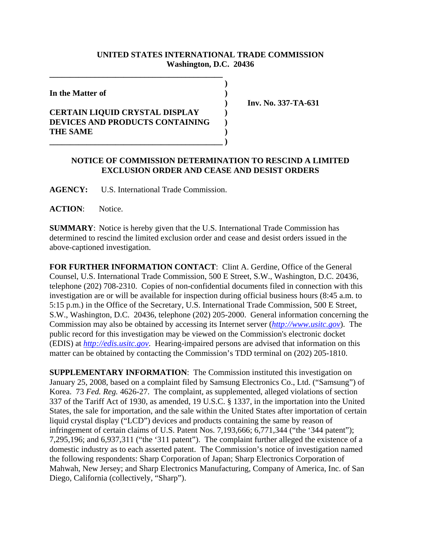## **UNITED STATES INTERNATIONAL TRADE COMMISSION Washington, D.C. 20436**

 **)**

**In the Matter of )**

## **CERTAIN LIQUID CRYSTAL DISPLAY ) DEVICES AND PRODUCTS CONTAINING ) THE SAME )**

**\_\_\_\_\_\_\_\_\_\_\_\_\_\_\_\_\_\_\_\_\_\_\_\_\_\_\_\_\_\_\_\_\_\_\_\_\_\_\_\_\_\_**

 **) Inv. No. 337-TA-631**

## **NOTICE OF COMMISSION DETERMINATION TO RESCIND A LIMITED EXCLUSION ORDER AND CEASE AND DESIST ORDERS**

**AGENCY:** U.S. International Trade Commission.

**\_\_\_\_\_\_\_\_\_\_\_\_\_\_\_\_\_\_\_\_\_\_\_\_\_\_\_\_\_\_\_\_\_\_\_\_\_\_\_\_\_\_ )**

**ACTION**: Notice.

**SUMMARY**: Notice is hereby given that the U.S. International Trade Commission has determined to rescind the limited exclusion order and cease and desist orders issued in the above-captioned investigation.

**FOR FURTHER INFORMATION CONTACT**: Clint A. Gerdine, Office of the General Counsel, U.S. International Trade Commission, 500 E Street, S.W., Washington, D.C. 20436, telephone (202) 708-2310. Copies of non-confidential documents filed in connection with this investigation are or will be available for inspection during official business hours (8:45 a.m. to 5:15 p.m.) in the Office of the Secretary, U.S. International Trade Commission, 500 E Street, S.W., Washington, D.C. 20436, telephone (202) 205-2000. General information concerning the Commission may also be obtained by accessing its Internet server (*http://www.usitc.gov*). The public record for this investigation may be viewed on the Commission's electronic docket (EDIS) at *http://edis.usitc.gov*. Hearing-impaired persons are advised that information on this matter can be obtained by contacting the Commission's TDD terminal on (202) 205-1810.

**SUPPLEMENTARY INFORMATION:** The Commission instituted this investigation on January 25, 2008, based on a complaint filed by Samsung Electronics Co., Ltd. ("Samsung") of Korea. 73 *Fed. Reg.* 4626-27. The complaint, as supplemented, alleged violations of section 337 of the Tariff Act of 1930, as amended, 19 U.S.C. § 1337, in the importation into the United States, the sale for importation, and the sale within the United States after importation of certain liquid crystal display ("LCD") devices and products containing the same by reason of infringement of certain claims of U.S. Patent Nos. 7,193,666; 6,771,344 ("the '344 patent"); 7,295,196; and 6,937,311 ("the '311 patent"). The complaint further alleged the existence of a domestic industry as to each asserted patent. The Commission's notice of investigation named the following respondents: Sharp Corporation of Japan; Sharp Electronics Corporation of Mahwah, New Jersey; and Sharp Electronics Manufacturing, Company of America, Inc. of San Diego, California (collectively, "Sharp").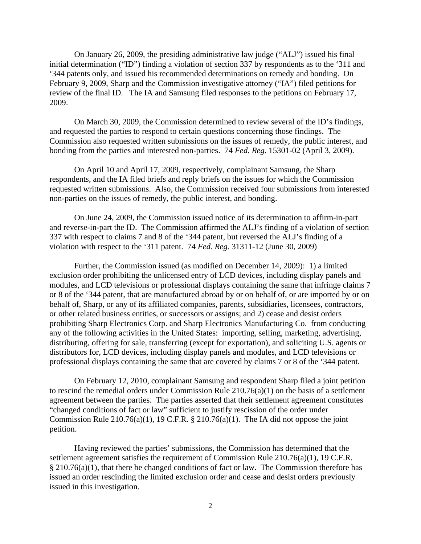On January 26, 2009, the presiding administrative law judge ("ALJ") issued his final initial determination ("ID") finding a violation of section 337 by respondents as to the '311 and '344 patents only, and issued his recommended determinations on remedy and bonding. On February 9, 2009, Sharp and the Commission investigative attorney ("IA") filed petitions for review of the final ID. The IA and Samsung filed responses to the petitions on February 17, 2009.

On March 30, 2009, the Commission determined to review several of the ID's findings, and requested the parties to respond to certain questions concerning those findings. The Commission also requested written submissions on the issues of remedy, the public interest, and bonding from the parties and interested non-parties. 74 *Fed. Reg.* 15301-02 (April 3, 2009).

On April 10 and April 17, 2009, respectively, complainant Samsung, the Sharp respondents, and the IA filed briefs and reply briefs on the issues for which the Commission requested written submissions. Also, the Commission received four submissions from interested non-parties on the issues of remedy, the public interest, and bonding.

On June 24, 2009, the Commission issued notice of its determination to affirm-in-part and reverse-in-part the ID. The Commission affirmed the ALJ's finding of a violation of section 337 with respect to claims 7 and 8 of the '344 patent, but reversed the ALJ's finding of a violation with respect to the '311 patent. 74 *Fed. Reg.* 31311-12 (June 30, 2009)

Further, the Commission issued (as modified on December 14, 2009): 1) a limited exclusion order prohibiting the unlicensed entry of LCD devices, including display panels and modules, and LCD televisions or professional displays containing the same that infringe claims 7 or 8 of the '344 patent, that are manufactured abroad by or on behalf of, or are imported by or on behalf of, Sharp, or any of its affiliated companies, parents, subsidiaries, licensees, contractors, or other related business entities, or successors or assigns; and 2) cease and desist orders prohibiting Sharp Electronics Corp. and Sharp Electronics Manufacturing Co. from conducting any of the following activities in the United States: importing, selling, marketing, advertising, distributing, offering for sale, transferring (except for exportation), and soliciting U.S. agents or distributors for, LCD devices, including display panels and modules, and LCD televisions or professional displays containing the same that are covered by claims 7 or 8 of the '344 patent.

On February 12, 2010, complainant Samsung and respondent Sharp filed a joint petition to rescind the remedial orders under Commission Rule 210.76(a)(1) on the basis of a settlement agreement between the parties. The parties asserted that their settlement agreement constitutes "changed conditions of fact or law" sufficient to justify rescission of the order under Commission Rule 210.76(a)(1), 19 C.F.R.  $\S$  210.76(a)(1). The IA did not oppose the joint petition.

Having reviewed the parties' submissions, the Commission has determined that the settlement agreement satisfies the requirement of Commission Rule 210.76(a)(1), 19 C.F.R. § 210.76(a)(1), that there be changed conditions of fact or law. The Commission therefore has issued an order rescinding the limited exclusion order and cease and desist orders previously issued in this investigation.